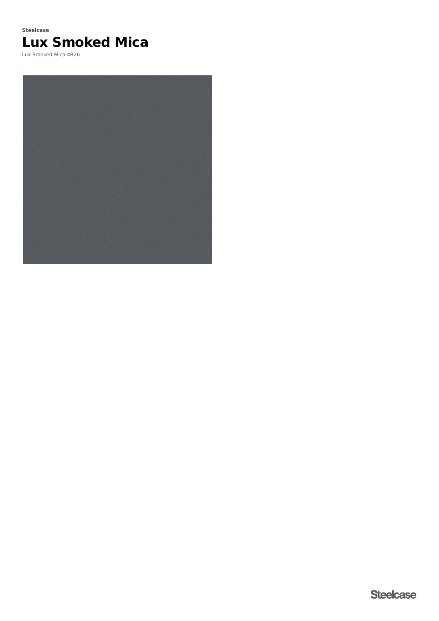# **Lux Smoked Mica Steelcase**

Lux Smoked Mica 4B26

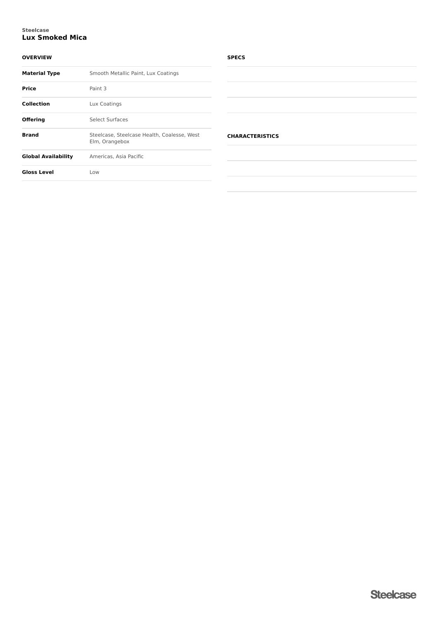#### **Lux Smoked Mica Steelcase**

### **OVERVIEW**

| <b>Material Type</b>       | Smooth Metallic Paint, Lux Coatings                           |  |  |
|----------------------------|---------------------------------------------------------------|--|--|
| Price                      | Paint 3                                                       |  |  |
| <b>Collection</b>          | Lux Coatings                                                  |  |  |
| <b>Offering</b>            | Select Surfaces                                               |  |  |
| <b>Brand</b>               | Steelcase, Steelcase Health, Coalesse, West<br>Elm, Orangebox |  |  |
| <b>Global Availability</b> | Americas, Asia Pacific                                        |  |  |
| <b>Gloss Level</b>         | Low                                                           |  |  |
|                            |                                                               |  |  |

#### **SPECS**

| <b>CHARACTERISTICS</b> |  |  |  |  |
|------------------------|--|--|--|--|
|                        |  |  |  |  |
|                        |  |  |  |  |
|                        |  |  |  |  |
|                        |  |  |  |  |